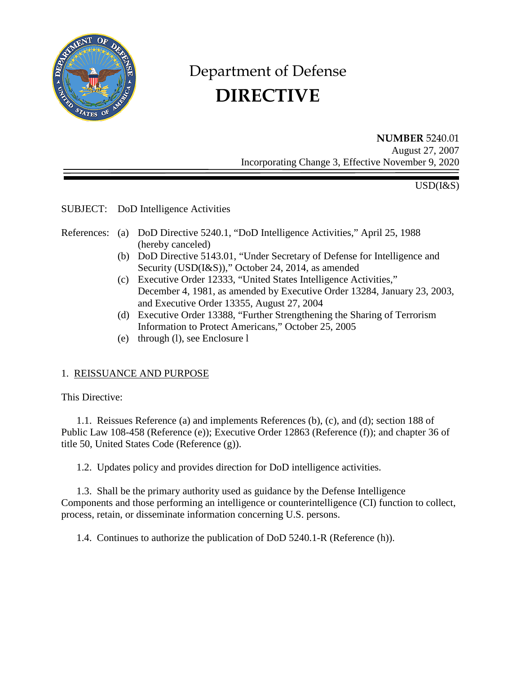

# Department of Defense  **DIRECTIVE**

**NUMBER** 5240.01 August 27, 2007 Incorporating Change 3, Effective November 9, 2020

USD(I&S)

SUBJECT: DoD Intelligence Activities

- References: (a) DoD Directive 5240.1, "DoD Intelligence Activities," April 25, 1988 (hereby canceled)
	- (b) DoD Directive 5143.01, "Under Secretary of Defense for Intelligence and Security (USD(I&S))," October 24, 2014, as amended
	- (c) Executive Order 12333, "United States Intelligence Activities," December 4, 1981, as amended by Executive Order 13284, January 23, 2003, and Executive Order 13355, August 27, 2004
	- (d) Executive Order 13388, "Further Strengthening the Sharing of Terrorism Information to Protect Americans," October 25, 2005
	- (e) through (l), see Enclosure l

## 1. REISSUANCE AND PURPOSE

This Directive:

 1.1. Reissues Reference (a) and implements References (b), (c), and (d); section 188 of Public Law 108-458 (Reference (e)); Executive Order 12863 (Reference (f)); and chapter 36 of title 50, United States Code (Reference (g)).

1.2. Updates policy and provides direction for DoD intelligence activities.

 1.3. Shall be the primary authority used as guidance by the Defense Intelligence Components and those performing an intelligence or counterintelligence (CI) function to collect, process, retain, or disseminate information concerning U.S. persons.

1.4. Continues to authorize the publication of DoD 5240.1-R (Reference (h)).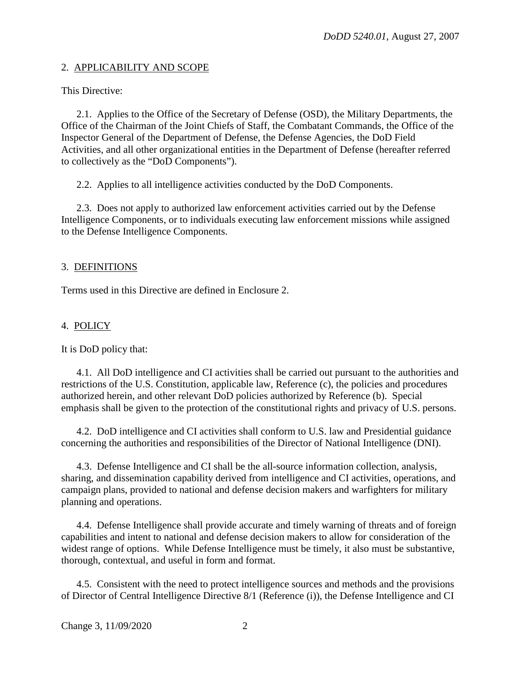## 2. APPLICABILITY AND SCOPE

This Directive:

 2.1. Applies to the Office of the Secretary of Defense (OSD), the Military Departments, the Office of the Chairman of the Joint Chiefs of Staff, the Combatant Commands, the Office of the Inspector General of the Department of Defense, the Defense Agencies, the DoD Field Activities, and all other organizational entities in the Department of Defense (hereafter referred to collectively as the "DoD Components").

2.2. Applies to all intelligence activities conducted by the DoD Components.

 2.3. Does not apply to authorized law enforcement activities carried out by the Defense Intelligence Components, or to individuals executing law enforcement missions while assigned to the Defense Intelligence Components.

#### 3. DEFINITIONS

Terms used in this Directive are defined in Enclosure 2.

## 4. POLICY

It is DoD policy that:

 4.1. All DoD intelligence and CI activities shall be carried out pursuant to the authorities and restrictions of the U.S. Constitution, applicable law, Reference (c), the policies and procedures authorized herein, and other relevant DoD policies authorized by Reference (b). Special emphasis shall be given to the protection of the constitutional rights and privacy of U.S. persons.

 4.2. DoD intelligence and CI activities shall conform to U.S. law and Presidential guidance concerning the authorities and responsibilities of the Director of National Intelligence (DNI).

 4.3. Defense Intelligence and CI shall be the all-source information collection, analysis, sharing, and dissemination capability derived from intelligence and CI activities, operations, and campaign plans, provided to national and defense decision makers and warfighters for military planning and operations.

 4.4. Defense Intelligence shall provide accurate and timely warning of threats and of foreign capabilities and intent to national and defense decision makers to allow for consideration of the widest range of options. While Defense Intelligence must be timely, it also must be substantive, thorough, contextual, and useful in form and format.

 4.5. Consistent with the need to protect intelligence sources and methods and the provisions of Director of Central Intelligence Directive 8/1 (Reference (i)), the Defense Intelligence and CI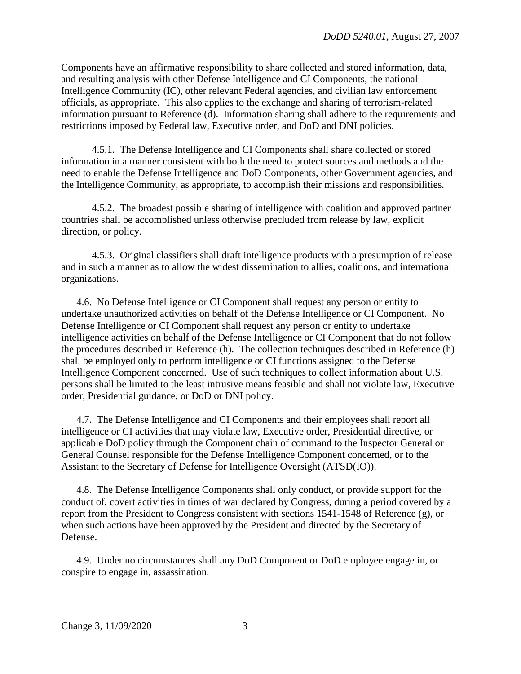Components have an affirmative responsibility to share collected and stored information, data, and resulting analysis with other Defense Intelligence and CI Components, the national Intelligence Community (IC), other relevant Federal agencies, and civilian law enforcement officials, as appropriate. This also applies to the exchange and sharing of terrorism-related information pursuant to Reference (d). Information sharing shall adhere to the requirements and restrictions imposed by Federal law, Executive order, and DoD and DNI policies.

 4.5.1. The Defense Intelligence and CI Components shall share collected or stored information in a manner consistent with both the need to protect sources and methods and the need to enable the Defense Intelligence and DoD Components, other Government agencies, and the Intelligence Community, as appropriate, to accomplish their missions and responsibilities.

 4.5.2. The broadest possible sharing of intelligence with coalition and approved partner countries shall be accomplished unless otherwise precluded from release by law, explicit direction, or policy.

 4.5.3. Original classifiers shall draft intelligence products with a presumption of release and in such a manner as to allow the widest dissemination to allies, coalitions, and international organizations.

 4.6. No Defense Intelligence or CI Component shall request any person or entity to undertake unauthorized activities on behalf of the Defense Intelligence or CI Component. No Defense Intelligence or CI Component shall request any person or entity to undertake intelligence activities on behalf of the Defense Intelligence or CI Component that do not follow the procedures described in Reference (h). The collection techniques described in Reference (h) shall be employed only to perform intelligence or CI functions assigned to the Defense Intelligence Component concerned. Use of such techniques to collect information about U.S. persons shall be limited to the least intrusive means feasible and shall not violate law, Executive order, Presidential guidance, or DoD or DNI policy.

 4.7. The Defense Intelligence and CI Components and their employees shall report all intelligence or CI activities that may violate law, Executive order, Presidential directive, or applicable DoD policy through the Component chain of command to the Inspector General or General Counsel responsible for the Defense Intelligence Component concerned, or to the Assistant to the Secretary of Defense for Intelligence Oversight (ATSD(IO)).

 4.8. The Defense Intelligence Components shall only conduct, or provide support for the conduct of, covert activities in times of war declared by Congress, during a period covered by a report from the President to Congress consistent with sections 1541-1548 of Reference (g), or when such actions have been approved by the President and directed by the Secretary of Defense.

 4.9. Under no circumstances shall any DoD Component or DoD employee engage in, or conspire to engage in, assassination.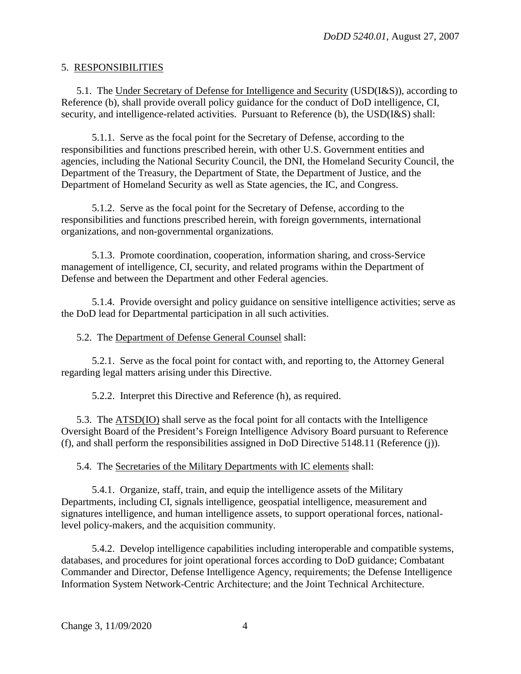#### 5. RESPONSIBILITIES

 5.1. The Under Secretary of Defense for Intelligence and Security (USD(I&S)), according to Reference (b), shall provide overall policy guidance for the conduct of DoD intelligence, CI, security, and intelligence-related activities. Pursuant to Reference (b), the USD(I&S) shall:

 5.1.1. Serve as the focal point for the Secretary of Defense, according to the responsibilities and functions prescribed herein, with other U.S. Government entities and agencies, including the National Security Council, the DNI, the Homeland Security Council, the Department of the Treasury, the Department of State, the Department of Justice, and the Department of Homeland Security as well as State agencies, the IC, and Congress.

 5.1.2. Serve as the focal point for the Secretary of Defense, according to the responsibilities and functions prescribed herein, with foreign governments, international organizations, and non-governmental organizations.

 5.1.3. Promote coordination, cooperation, information sharing, and cross-Service management of intelligence, CI, security, and related programs within the Department of Defense and between the Department and other Federal agencies.

 5.1.4. Provide oversight and policy guidance on sensitive intelligence activities; serve as the DoD lead for Departmental participation in all such activities.

#### 5.2. The Department of Defense General Counsel shall:

 5.2.1. Serve as the focal point for contact with, and reporting to, the Attorney General regarding legal matters arising under this Directive.

5.2.2. Interpret this Directive and Reference (h), as required.

 5.3. The ATSD(IO) shall serve as the focal point for all contacts with the Intelligence Oversight Board of the President's Foreign Intelligence Advisory Board pursuant to Reference (f), and shall perform the responsibilities assigned in DoD Directive 5148.11 (Reference (j)).

5.4. The Secretaries of the Military Departments with IC elements shall:

 5.4.1. Organize, staff, train, and equip the intelligence assets of the Military Departments, including CI, signals intelligence, geospatial intelligence, measurement and signatures intelligence, and human intelligence assets, to support operational forces, nationallevel policy-makers, and the acquisition community.

 5.4.2. Develop intelligence capabilities including interoperable and compatible systems, databases, and procedures for joint operational forces according to DoD guidance; Combatant Commander and Director, Defense Intelligence Agency, requirements; the Defense Intelligence Information System Network-Centric Architecture; and the Joint Technical Architecture.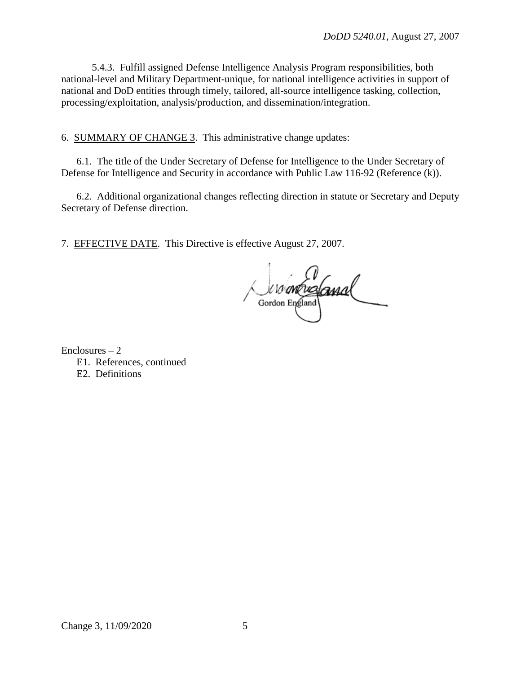5.4.3. Fulfill assigned Defense Intelligence Analysis Program responsibilities, both national-level and Military Department-unique, for national intelligence activities in support of national and DoD entities through timely, tailored, all-source intelligence tasking, collection, processing/exploitation, analysis/production, and dissemination/integration.

6. SUMMARY OF CHANGE 3. This administrative change updates:

 6.1. The title of the Under Secretary of Defense for Intelligence to the Under Secretary of Defense for Intelligence and Security in accordance with Public Law 116-92 (Reference (k)).

 6.2. Additional organizational changes reflecting direction in statute or Secretary and Deputy Secretary of Defense direction.

7. EFFECTIVE DATE. This Directive is effective August 27, 2007.

Suro un England

 $Enclosures - 2$ E1. References, continued E2. Definitions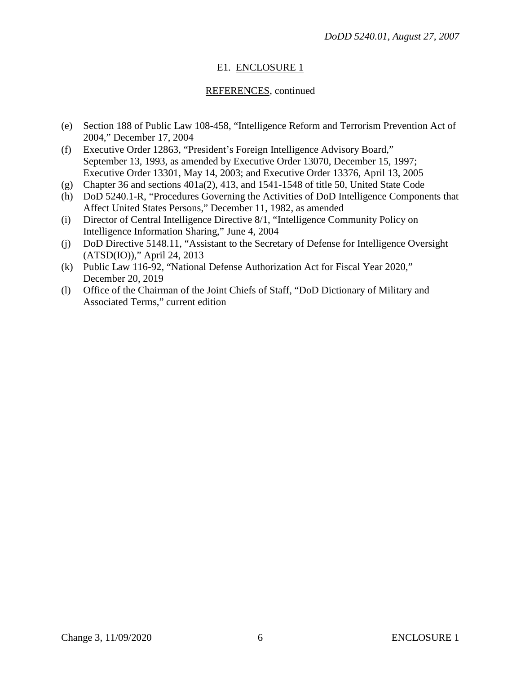# E1. ENCLOSURE 1

## REFERENCES, continued

- (e) Section 188 of Public Law 108-458, "Intelligence Reform and Terrorism Prevention Act of 2004," December 17, 2004
- (f) Executive Order 12863, "President's Foreign Intelligence Advisory Board," September 13, 1993, as amended by Executive Order 13070, December 15, 1997; Executive Order 13301, May 14, 2003; and Executive Order 13376, April 13, 2005
- (g) Chapter 36 and sections 401a(2), 413, and 1541-1548 of title 50, United State Code
- (h) DoD 5240.1-R, "Procedures Governing the Activities of DoD Intelligence Components that Affect United States Persons," December 11, 1982, as amended
- (i) Director of Central Intelligence Directive 8/1, "Intelligence Community Policy on Intelligence Information Sharing," June 4, 2004
- (j) DoD Directive 5148.11, "Assistant to the Secretary of Defense for Intelligence Oversight (ATSD(IO))," April 24, 2013
- (k) Public Law 116-92, "National Defense Authorization Act for Fiscal Year 2020," December 20, 2019
- (l) Office of the Chairman of the Joint Chiefs of Staff, "DoD Dictionary of Military and Associated Terms," current edition